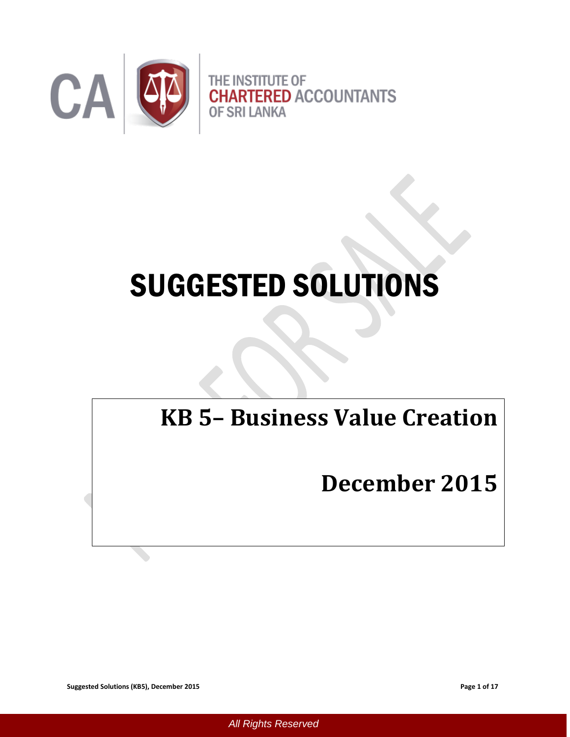

# SUGGESTED SOLUTIONS

# **KB 5– Business Value Creation**

# **December 2015**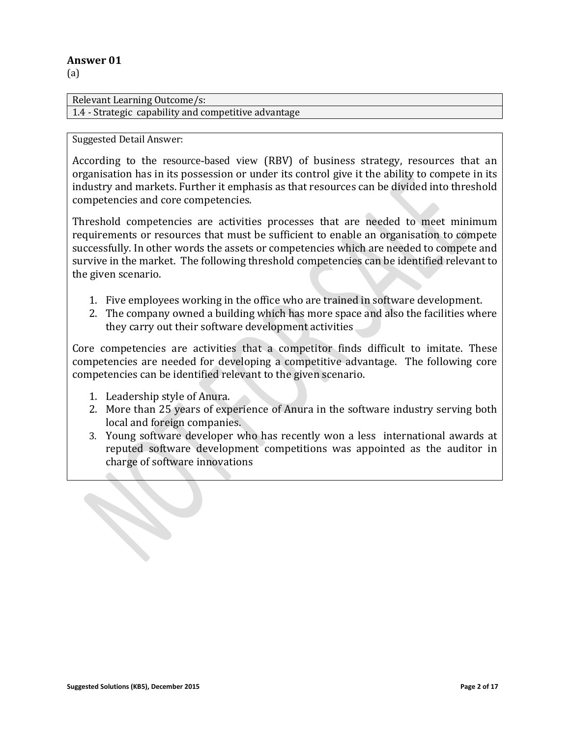(a)

Relevant Learning Outcome/s: 1.4 - Strategic capability and competitive advantage

#### Suggested Detail Answer:

According to the resource-based view (RBV) of business strategy, resources that an organisation has in its possession or under its control give it the ability to compete in its industry and markets. Further it emphasis as that resources can be divided into threshold competencies and core competencies.

Threshold competencies are activities processes that are needed to meet minimum requirements or resources that must be sufficient to enable an organisation to compete successfully. In other words the assets or competencies which are needed to compete and survive in the market. The following threshold competencies can be identified relevant to the given scenario.

- 1. Five employees working in the office who are trained in software development.
- 2. The company owned a building which has more space and also the facilities where they carry out their software development activities

Core competencies are activities that a competitor finds difficult to imitate. These competencies are needed for developing a competitive advantage. The following core competencies can be identified relevant to the given scenario.

- 1. Leadership style of Anura.
- 2. More than 25 years of experience of Anura in the software industry serving both local and foreign companies.
- 3. Young software developer who has recently won a less international awards at reputed software development competitions was appointed as the auditor in charge of software innovations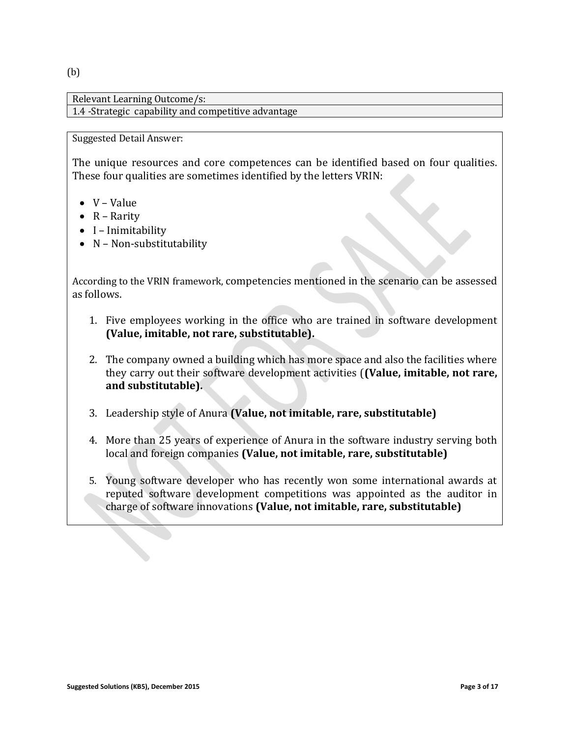(b)

Relevant Learning Outcome/s: 1.4 -Strategic capability and competitive advantage

#### Suggested Detail Answer:

The unique resources and core competences can be identified based on four qualities. These four qualities are sometimes identified by the letters VRIN:

- $\bullet$  V Value
- $\bullet$  R Rarity
- $\bullet$  I Inimitability
- $\bullet$  N Non-substitutability

According to the VRIN framework, competencies mentioned in the scenario can be assessed as follows.

- 1. Five employees working in the office who are trained in software development **(Value, imitable, not rare, substitutable).**
- 2. The company owned a building which has more space and also the facilities where they carry out their software development activities (**(Value, imitable, not rare, and substitutable).**
- 3. Leadership style of Anura **(Value, not imitable, rare, substitutable)**
- 4. More than 25 years of experience of Anura in the software industry serving both local and foreign companies **(Value, not imitable, rare, substitutable)**
- 5. Young software developer who has recently won some international awards at reputed software development competitions was appointed as the auditor in charge of software innovations **(Value, not imitable, rare, substitutable)**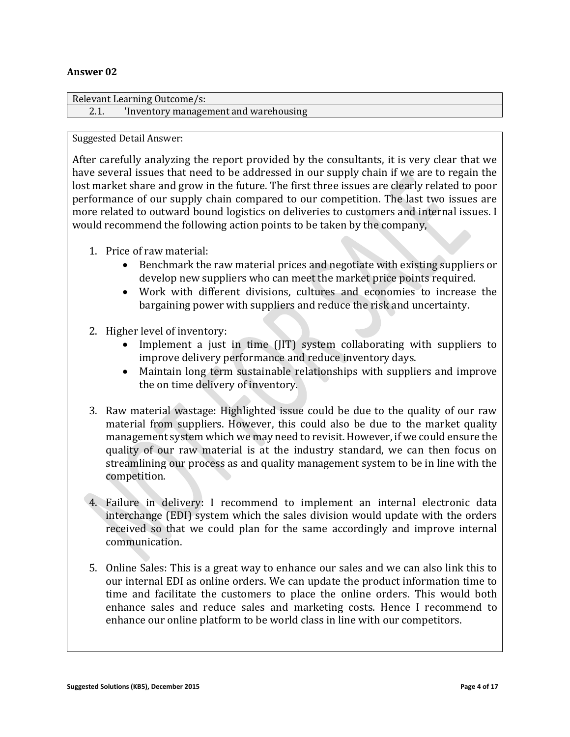| Relevant Learning Outcome/s: |                                           |
|------------------------------|-------------------------------------------|
|                              | This inventory management and warehousing |

Suggested Detail Answer:

After carefully analyzing the report provided by the consultants, it is very clear that we have several issues that need to be addressed in our supply chain if we are to regain the lost market share and grow in the future. The first three issues are clearly related to poor performance of our supply chain compared to our competition. The last two issues are more related to outward bound logistics on deliveries to customers and internal issues. I would recommend the following action points to be taken by the company,

- 1. Price of raw material:
	- Benchmark the raw material prices and negotiate with existing suppliers or develop new suppliers who can meet the market price points required.
	- Work with different divisions, cultures and economies to increase the bargaining power with suppliers and reduce the risk and uncertainty.
- 2. Higher level of inventory:
	- Implement a just in time (JIT) system collaborating with suppliers to improve delivery performance and reduce inventory days.
	- Maintain long term sustainable relationships with suppliers and improve the on time delivery of inventory.
- 3. Raw material wastage: Highlighted issue could be due to the quality of our raw material from suppliers. However, this could also be due to the market quality management system which we may need to revisit. However, if we could ensure the quality of our raw material is at the industry standard, we can then focus on streamlining our process as and quality management system to be in line with the competition.
- 4. Failure in delivery: I recommend to implement an internal electronic data interchange (EDI) system which the sales division would update with the orders received so that we could plan for the same accordingly and improve internal communication.
- 5. Online Sales: This is a great way to enhance our sales and we can also link this to our internal EDI as online orders. We can update the product information time to time and facilitate the customers to place the online orders. This would both enhance sales and reduce sales and marketing costs. Hence I recommend to enhance our online platform to be world class in line with our competitors.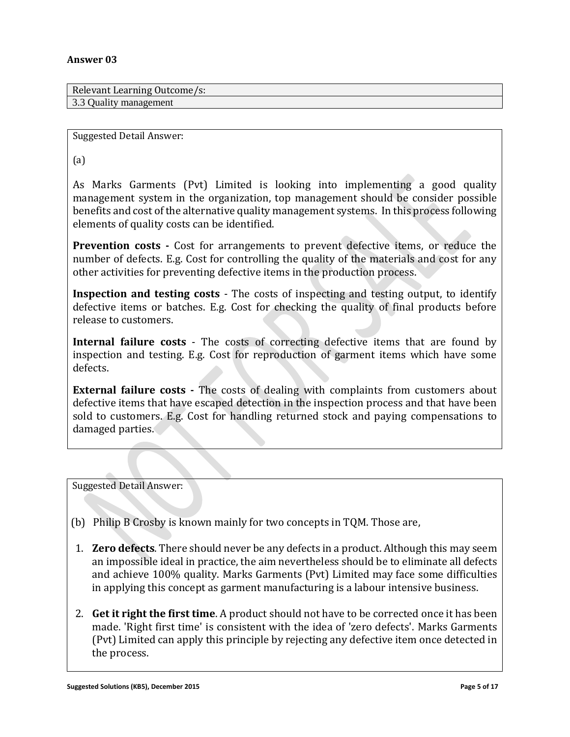Relevant Learning Outcome/s: 3.3 Quality management

Suggested Detail Answer:

(a)

As Marks Garments (Pvt) Limited is looking into implementing a good quality management system in the organization, top management should be consider possible benefits and cost of the alternative quality management systems. In this process following elements of quality costs can be identified.

**Prevention costs -** Cost for arrangements to prevent defective items, or reduce the number of defects. E.g. Cost for controlling the quality of the materials and cost for any other activities for preventing defective items in the production process.

**Inspection and testing costs** - The costs of inspecting and testing output, to identify defective items or batches. E.g. Cost for checking the quality of final products before release to customers.

**Internal failure costs** - The costs of correcting defective items that are found by inspection and testing. E.g. Cost for reproduction of garment items which have some defects.

**External failure costs -** The costs of dealing with complaints from customers about defective items that have escaped detection in the inspection process and that have been sold to customers. E.g. Cost for handling returned stock and paying compensations to damaged parties.

Suggested Detail Answer:

(b) Philip B Crosby is known mainly for two concepts in TQM. Those are,

- 1. **Zero defects**. There should never be any defects in a product. Although this may seem an impossible ideal in practice, the aim nevertheless should be to eliminate all defects and achieve 100% quality. Marks Garments (Pvt) Limited may face some difficulties in applying this concept as garment manufacturing is a labour intensive business.
- 2. **Get it right the first time**. A product should not have to be corrected once it has been made. 'Right first time' is consistent with the idea of 'zero defects'. Marks Garments (Pvt) Limited can apply this principle by rejecting any defective item once detected in the process.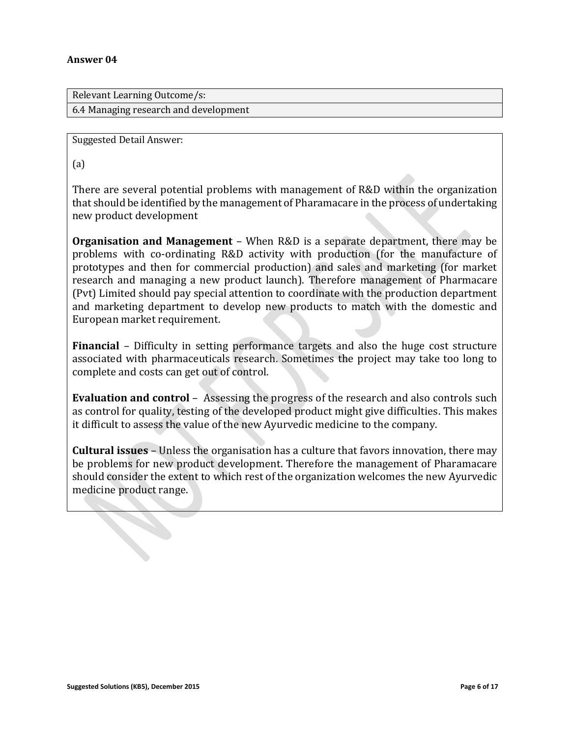Relevant Learning Outcome/s: 6.4 Managing research and development

Suggested Detail Answer:

(a)

There are several potential problems with management of R&D within the organization that should be identified by the management of Pharamacare in the process of undertaking new product development

**Organisation and Management** – When R&D is a separate department, there may be problems with co-ordinating R&D activity with production (for the manufacture of prototypes and then for commercial production) and sales and marketing (for market research and managing a new product launch). Therefore management of Pharmacare (Pvt) Limited should pay special attention to coordinate with the production department and marketing department to develop new products to match with the domestic and European market requirement.

**Financial** – Difficulty in setting performance targets and also the huge cost structure associated with pharmaceuticals research. Sometimes the project may take too long to complete and costs can get out of control.

**Evaluation and control** – Assessing the progress of the research and also controls such as control for quality, testing of the developed product might give difficulties. This makes it difficult to assess the value of the new Ayurvedic medicine to the company.

**Cultural issues** – Unless the organisation has a culture that favors innovation, there may be problems for new product development. Therefore the management of Pharamacare should consider the extent to which rest of the organization welcomes the new Ayurvedic medicine product range.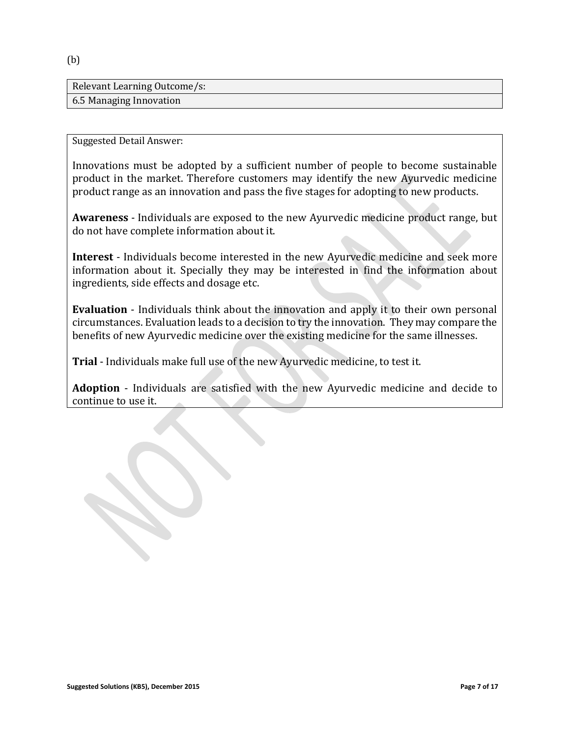Relevant Learning Outcome/s: 6.5 Managing Innovation

Suggested Detail Answer:

Innovations must be adopted by a sufficient number of people to become sustainable product in the market. Therefore customers may identify the new Ayurvedic medicine product range as an innovation and pass the five stages for adopting to new products.

**Awareness** - Individuals are exposed to the new Ayurvedic medicine product range, but do not have complete information about it.

**Interest** - Individuals become interested in the new Ayurvedic medicine and seek more information about it. Specially they may be interested in find the information about ingredients, side effects and dosage etc.

**Evaluation** - Individuals think about the innovation and apply it to their own personal circumstances. Evaluation leads to a decision to try the innovation. They may compare the benefits of new Ayurvedic medicine over the existing medicine for the same illnesses.

**Trial** - Individuals make full use of the new Ayurvedic medicine, to test it.

**Adoption** - Individuals are satisfied with the new Ayurvedic medicine and decide to continue to use it.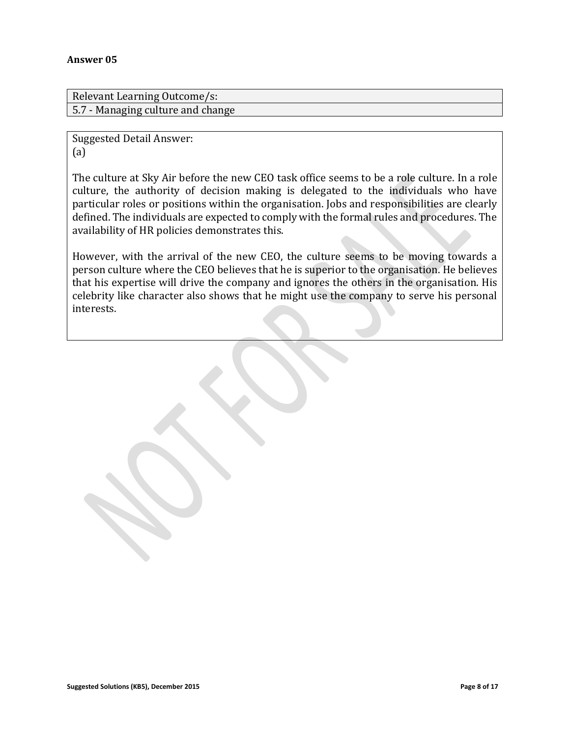Relevant Learning Outcome/s: 5.7 - Managing culture and change

Suggested Detail Answer: (a)

The culture at Sky Air before the new CEO task office seems to be a role culture. In a role culture, the authority of decision making is delegated to the individuals who have particular roles or positions within the organisation. Jobs and responsibilities are clearly defined. The individuals are expected to comply with the formal rules and procedures. The availability of HR policies demonstrates this.

However, with the arrival of the new CEO, the culture seems to be moving towards a person culture where the CEO believes that he is superior to the organisation. He believes that his expertise will drive the company and ignores the others in the organisation. His celebrity like character also shows that he might use the company to serve his personal interests.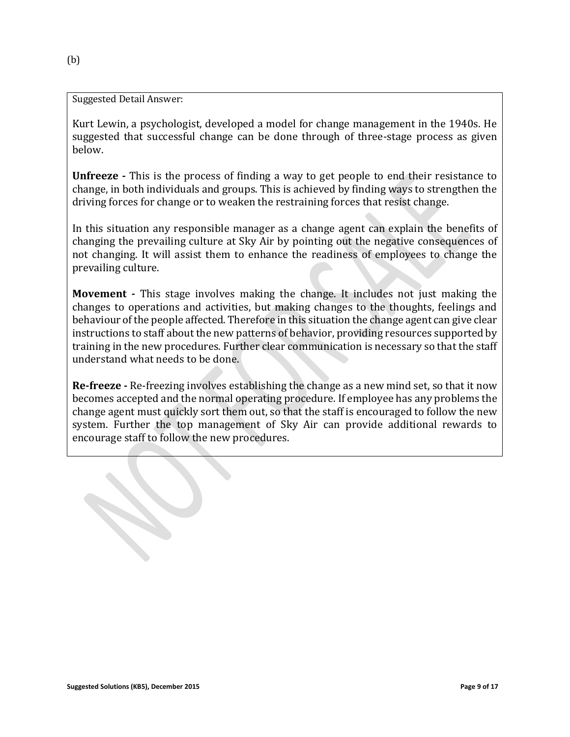Kurt Lewin, a psychologist, developed a model for change management in the 1940s. He suggested that successful change can be done through of three-stage process as given below.

**Unfreeze -** This is the process of finding a way to get people to end their resistance to change, in both individuals and groups. This is achieved by finding ways to strengthen the driving forces for change or to weaken the restraining forces that resist change.

In this situation any responsible manager as a change agent can explain the benefits of changing the prevailing culture at Sky Air by pointing out the negative consequences of not changing. It will assist them to enhance the readiness of employees to change the prevailing culture.

**Movement -** This stage involves making the change. It includes not just making the changes to operations and activities, but making changes to the thoughts, feelings and behaviour of the people affected. Therefore in this situation the change agent can give clear instructions to staff about the new patterns of behavior, providing resources supported by training in the new procedures. Further clear communication is necessary so that the staff understand what needs to be done.

**Re-freeze -** Re-freezing involves establishing the change as a new mind set, so that it now becomes accepted and the normal operating procedure. If employee has any problems the change agent must quickly sort them out, so that the staff is encouraged to follow the new system. Further the top management of Sky Air can provide additional rewards to encourage staff to follow the new procedures.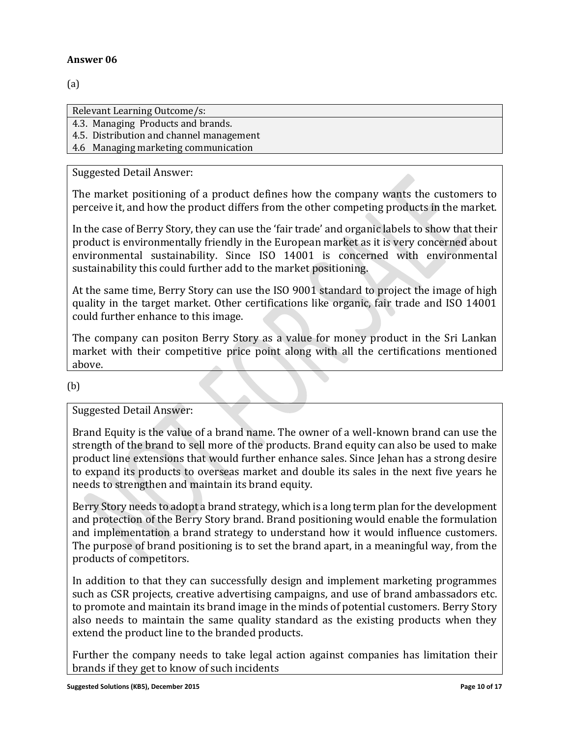(a)

Relevant Learning Outcome/s:

4.3. Managing Products and brands.

4.5. Distribution and channel management

4.6 Managing marketing communication

## Suggested Detail Answer:

The market positioning of a product defines how the company wants the customers to perceive it, and how the product differs from the other competing products in the market.

In the case of Berry Story, they can use the 'fair trade' and organic labels to show that their product is environmentally friendly in the European market as it is very concerned about environmental sustainability. Since ISO 14001 is concerned with environmental sustainability this could further add to the market positioning.

At the same time, Berry Story can use the ISO 9001 standard to project the image of high quality in the target market. Other certifications like organic, fair trade and ISO 14001 could further enhance to this image.

The company can positon Berry Story as a value for money product in the Sri Lankan market with their competitive price point along with all the certifications mentioned above.

(b)

# Suggested Detail Answer:

Brand Equity is the value of a brand name. The owner of a well-known brand can use the strength of the brand to sell more of the products. Brand equity can also be used to make product line extensions that would further enhance sales. Since Jehan has a strong desire to expand its products to overseas market and double its sales in the next five years he needs to strengthen and maintain its brand equity.

Berry Story needs to adopt a brand strategy, which is a long term plan for the development and protection of the Berry Story brand. Brand positioning would enable the formulation and implementation a brand strategy to understand how it would influence customers. The purpose of brand positioning is to set the brand apart, in a meaningful way, from the products of competitors.

In addition to that they can successfully design and implement marketing programmes such as CSR projects, creative advertising campaigns, and use of brand ambassadors etc. to promote and maintain its brand image in the minds of potential customers. Berry Story also needs to maintain the same quality standard as the existing products when they extend the product line to the branded products.

Further the company needs to take legal action against companies has limitation their brands if they get to know of such incidents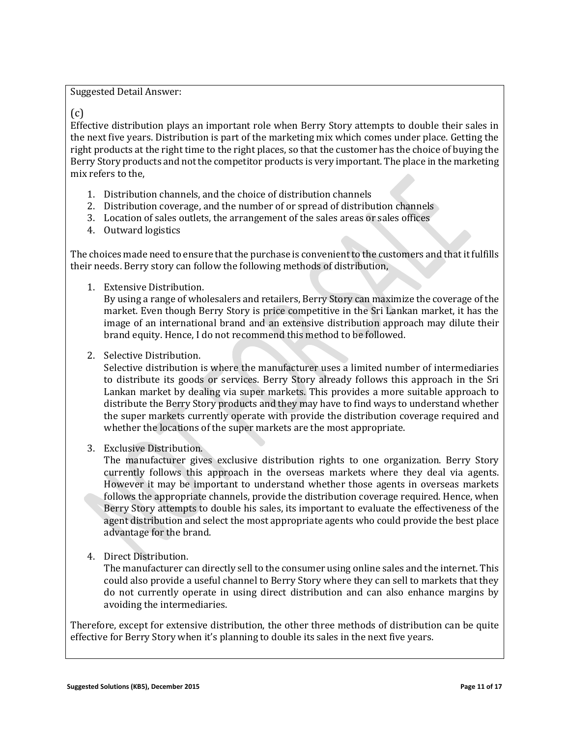#### (c)

Effective distribution plays an important role when Berry Story attempts to double their sales in the next five years. Distribution is part of the marketing mix which comes under place. Getting the right products at the right time to the right places, so that the customer has the choice of buying the Berry Story products and not the competitor products is very important. The place in the marketing mix refers to the,

- 1. Distribution channels, and the choice of distribution channels
- 2. Distribution coverage, and the number of or spread of distribution channels
- 3. Location of sales outlets, the arrangement of the sales areas or sales offices
- 4. Outward logistics

The choices made need to ensure that the purchase is convenient to the customers and that it fulfills their needs. Berry story can follow the following methods of distribution,

1. Extensive Distribution.

By using a range of wholesalers and retailers, Berry Story can maximize the coverage of the market. Even though Berry Story is price competitive in the Sri Lankan market, it has the image of an international brand and an extensive distribution approach may dilute their brand equity. Hence, I do not recommend this method to be followed.

2. Selective Distribution.

Selective distribution is where the manufacturer uses a limited number of intermediaries to distribute its goods or services. Berry Story already follows this approach in the Sri Lankan market by dealing via super markets. This provides a more suitable approach to distribute the Berry Story products and they may have to find ways to understand whether the super markets currently operate with provide the distribution coverage required and whether the locations of the super markets are the most appropriate.

3. Exclusive Distribution.

The manufacturer gives exclusive distribution rights to one organization. Berry Story currently follows this approach in the overseas markets where they deal via agents. However it may be important to understand whether those agents in overseas markets follows the appropriate channels, provide the distribution coverage required. Hence, when Berry Story attempts to double his sales, its important to evaluate the effectiveness of the agent distribution and select the most appropriate agents who could provide the best place advantage for the brand.

4. Direct Distribution.

The manufacturer can directly sell to the consumer using online sales and the internet. This could also provide a useful channel to Berry Story where they can sell to markets that they do not currently operate in using direct distribution and can also enhance margins by avoiding the intermediaries.

Therefore, except for extensive distribution, the other three methods of distribution can be quite effective for Berry Story when it's planning to double its sales in the next five years.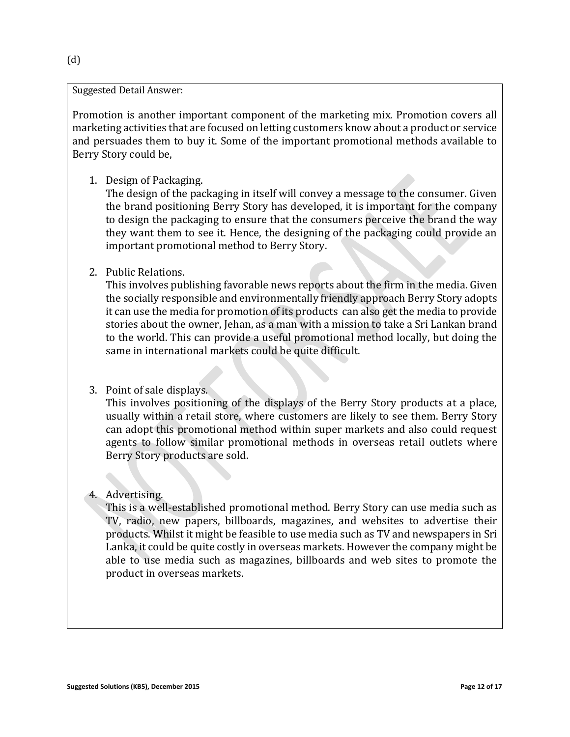Promotion is another important component of the marketing mix. Promotion covers all marketing activities that are focused on letting customers know about a product or service and persuades them to buy it. Some of the important promotional methods available to Berry Story could be,

1. Design of Packaging.

The design of the packaging in itself will convey a message to the consumer. Given the brand positioning Berry Story has developed, it is important for the company to design the packaging to ensure that the consumers perceive the brand the way they want them to see it. Hence, the designing of the packaging could provide an important promotional method to Berry Story.

2. Public Relations.

This involves publishing favorable news reports about the firm in the media. Given the socially responsible and environmentally friendly approach Berry Story adopts it can use the media for promotion of its products can also get the media to provide stories about the owner, Jehan, as a man with a mission to take a Sri Lankan brand to the world. This can provide a useful promotional method locally, but doing the same in international markets could be quite difficult.

3. Point of sale displays.

This involves positioning of the displays of the Berry Story products at a place, usually within a retail store, where customers are likely to see them. Berry Story can adopt this promotional method within super markets and also could request agents to follow similar promotional methods in overseas retail outlets where Berry Story products are sold.

4. Advertising.

This is a well-established promotional method. Berry Story can use media such as TV, radio, new papers, billboards, magazines, and websites to advertise their products. Whilst it might be feasible to use media such as TV and newspapers in Sri Lanka, it could be quite costly in overseas markets. However the company might be able to use media such as magazines, billboards and web sites to promote the product in overseas markets.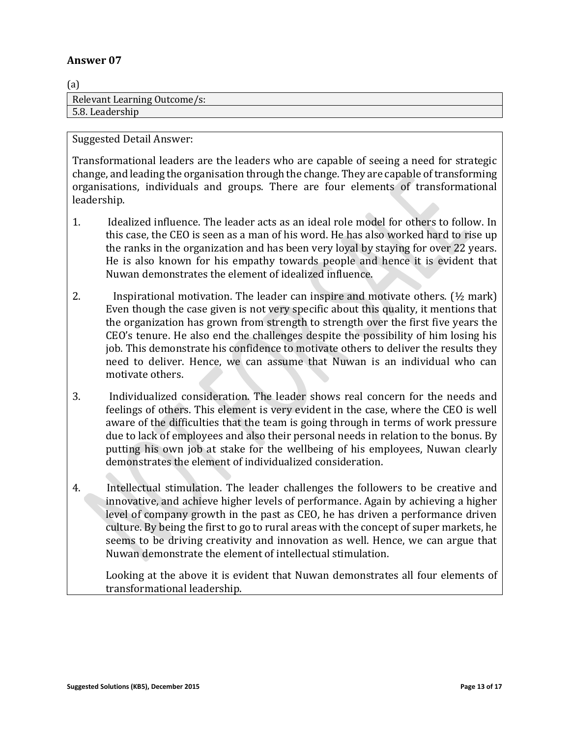$\sim$ 

| (a)                          |
|------------------------------|
| Relevant Learning Outcome/s: |
| 5.8. Leadership              |

Suggested Detail Answer:

Transformational leaders are the leaders who are capable of seeing a need for strategic change, and leading the organisation through the change. They are capable of transforming organisations, individuals and groups. There are four elements of transformational leadership.

- 1. Idealized influence. The leader acts as an ideal role model for others to follow. In this case, the CEO is seen as a man of his word. He has also worked hard to rise up the ranks in the organization and has been very loyal by staying for over 22 years. He is also known for his empathy towards people and hence it is evident that Nuwan demonstrates the element of idealized influence.
- 2. Inspirational motivation. The leader can inspire and motivate others.  $(\frac{1}{2})$  mark) Even though the case given is not very specific about this quality, it mentions that the organization has grown from strength to strength over the first five years the CEO's tenure. He also end the challenges despite the possibility of him losing his job. This demonstrate his confidence to motivate others to deliver the results they need to deliver. Hence, we can assume that Nuwan is an individual who can motivate others.
- 3. Individualized consideration. The leader shows real concern for the needs and feelings of others. This element is very evident in the case, where the CEO is well aware of the difficulties that the team is going through in terms of work pressure due to lack of employees and also their personal needs in relation to the bonus. By putting his own job at stake for the wellbeing of his employees, Nuwan clearly demonstrates the element of individualized consideration.
- 4. Intellectual stimulation. The leader challenges the followers to be creative and innovative, and achieve higher levels of performance. Again by achieving a higher level of company growth in the past as CEO, he has driven a performance driven culture. By being the first to go to rural areas with the concept of super markets, he seems to be driving creativity and innovation as well. Hence, we can argue that Nuwan demonstrate the element of intellectual stimulation.

Looking at the above it is evident that Nuwan demonstrates all four elements of transformational leadership.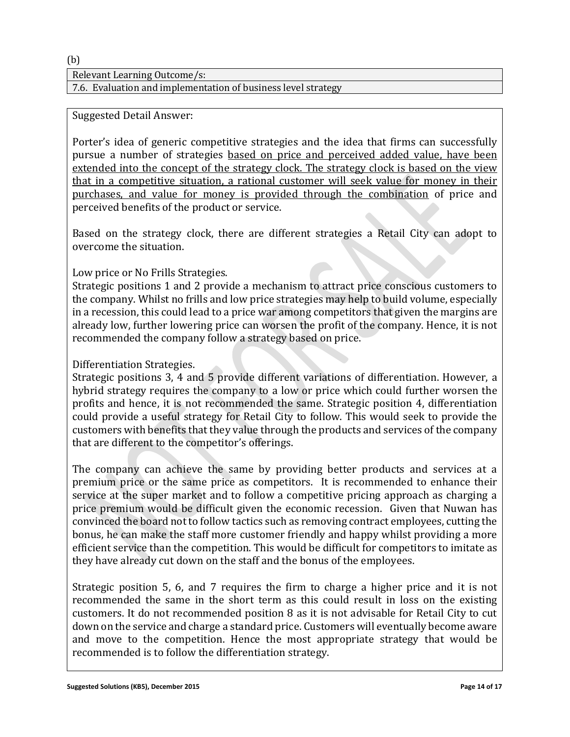Relevant Learning Outcome/s:

7.6. Evaluation and implementation of business level strategy

## Suggested Detail Answer:

Porter's idea of generic competitive strategies and the idea that firms can successfully pursue a number of strategies based on price and perceived added value, have been extended into the concept of the strategy clock. The strategy clock is based on the view that in a competitive situation, a rational customer will seek value for money in their purchases, and value for money is provided through the combination of price and perceived benefits of the product or service.

Based on the strategy clock, there are different strategies a Retail City can adopt to overcome the situation.

# Low price or No Frills Strategies.

Strategic positions 1 and 2 provide a mechanism to attract price conscious customers to the company. Whilst no frills and low price strategies may help to build volume, especially in a recession, this could lead to a price war among competitors that given the margins are already low, further lowering price can worsen the profit of the company. Hence, it is not recommended the company follow a strategy based on price.

# Differentiation Strategies.

Strategic positions 3, 4 and 5 provide different variations of differentiation. However, a hybrid strategy requires the company to a low or price which could further worsen the profits and hence, it is not recommended the same. Strategic position 4, differentiation could provide a useful strategy for Retail City to follow. This would seek to provide the customers with benefits that they value through the products and services of the company that are different to the competitor's offerings.

The company can achieve the same by providing better products and services at a premium price or the same price as competitors. It is recommended to enhance their service at the super market and to follow a competitive pricing approach as charging a price premium would be difficult given the economic recession. Given that Nuwan has convinced the board not to follow tactics such as removing contract employees, cutting the bonus, he can make the staff more customer friendly and happy whilst providing a more efficient service than the competition. This would be difficult for competitors to imitate as they have already cut down on the staff and the bonus of the employees.

Strategic position 5, 6, and 7 requires the firm to charge a higher price and it is not recommended the same in the short term as this could result in loss on the existing customers. It do not recommended position 8 as it is not advisable for Retail City to cut down on the service and charge a standard price. Customers will eventually become aware and move to the competition. Hence the most appropriate strategy that would be recommended is to follow the differentiation strategy.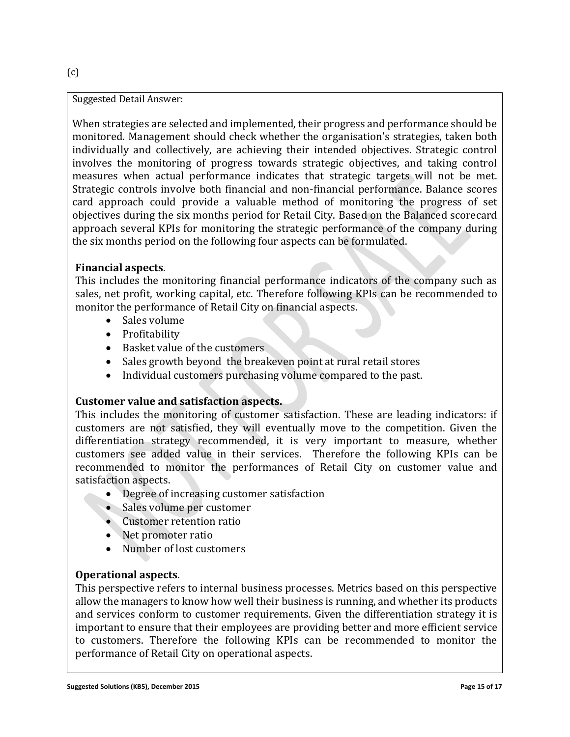When strategies are selected and implemented, their progress and performance should be monitored. Management should check whether the organisation's strategies, taken both individually and collectively, are achieving their intended objectives. Strategic control involves the monitoring of progress towards strategic objectives, and taking control measures when actual performance indicates that strategic targets will not be met. Strategic controls involve both financial and non-financial performance. Balance scores card approach could provide a valuable method of monitoring the progress of set objectives during the six months period for Retail City. Based on the Balanced scorecard approach several KPIs for monitoring the strategic performance of the company during the six months period on the following four aspects can be formulated.

# **Financial aspects**.

This includes the monitoring financial performance indicators of the company such as sales, net profit, working capital, etc. Therefore following KPIs can be recommended to monitor the performance of Retail City on financial aspects.

- Sales volume
- Profitability
- Basket value of the customers
- Sales growth beyond the breakeven point at rural retail stores
- Individual customers purchasing volume compared to the past.

# **Customer value and satisfaction aspects.**

This includes the monitoring of customer satisfaction. These are leading indicators: if customers are not satisfied, they will eventually move to the competition. Given the differentiation strategy recommended, it is very important to measure, whether customers see added value in their services. Therefore the following KPIs can be recommended to monitor the performances of Retail City on customer value and satisfaction aspects.

- Degree of increasing customer satisfaction
- Sales volume per customer
- Customer retention ratio
- Net promoter ratio
- Number of lost customers

# **Operational aspects**.

This perspective refers to internal business processes. Metrics based on this perspective allow the managers to know how well their business is running, and whether its products and services conform to customer requirements. Given the differentiation strategy it is important to ensure that their employees are providing better and more efficient service to customers. Therefore the following KPIs can be recommended to monitor the performance of Retail City on operational aspects.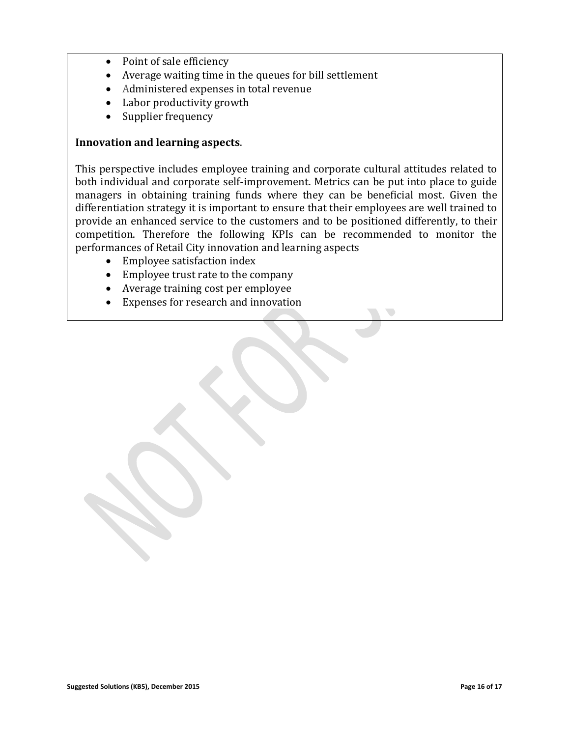- Point of sale efficiency
- Average waiting time in the queues for bill settlement
- Administered expenses in total revenue
- Labor productivity growth
- Supplier frequency

#### **Innovation and learning aspects**.

This perspective includes employee training and corporate cultural attitudes related to both individual and corporate self-improvement. Metrics can be put into place to guide managers in obtaining training funds where they can be beneficial most. Given the differentiation strategy it is important to ensure that their employees are well trained to provide an enhanced service to the customers and to be positioned differently, to their competition. Therefore the following KPIs can be recommended to monitor the performances of Retail City innovation and learning aspects

- Employee satisfaction index
- Employee trust rate to the company
- Average training cost per employee
- Expenses for research and innovation